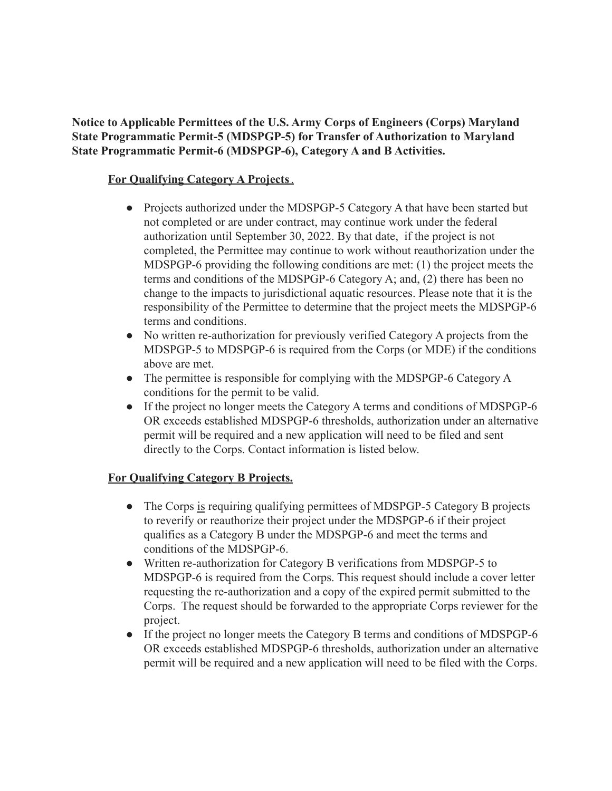**Notice to Applicable Permittees of the U.S. Army Corps of Engineers (Corps) Maryland State Programmatic Permit-5 (MDSPGP-5) for Transfer of Authorization to Maryland State Programmatic Permit-6 (MDSPGP-6), Category A and B Activities.**

## **For Qualifying Category A Projects**.

- Projects authorized under the MDSPGP-5 Category A that have been started but not completed or are under contract, may continue work under the federal authorization until September 30, 2022. By that date, if the project is not completed, the Permittee may continue to work without reauthorization under the MDSPGP-6 providing the following conditions are met: (1) the project meets the terms and conditions of the MDSPGP-6 Category A; and, (2) there has been no change to the impacts to jurisdictional aquatic resources. Please note that it is the responsibility of the Permittee to determine that the project meets the MDSPGP-6 terms and conditions.
- No written re-authorization for previously verified Category A projects from the MDSPGP-5 to MDSPGP-6 is required from the Corps (or MDE) if the conditions above are met.
- The permittee is responsible for complying with the MDSPGP-6 Category A conditions for the permit to be valid.
- If the project no longer meets the Category A terms and conditions of MDSPGP-6 OR exceeds established MDSPGP-6 thresholds, authorization under an alternative permit will be required and a new application will need to be filed and sent directly to the Corps. Contact information is listed below.

## **For Qualifying Category B Projects.**

- The Corps is requiring qualifying permittees of MDSPGP-5 Category B projects to reverify or reauthorize their project under the MDSPGP-6 if their project qualifies as a Category B under the MDSPGP-6 and meet the terms and conditions of the MDSPGP-6.
- Written re-authorization for Category B verifications from MDSPGP-5 to MDSPGP-6 is required from the Corps. This request should include a cover letter requesting the re-authorization and a copy of the expired permit submitted to the Corps. The request should be forwarded to the appropriate Corps reviewer for the project.
- If the project no longer meets the Category B terms and conditions of MDSPGP-6 OR exceeds established MDSPGP-6 thresholds, authorization under an alternative permit will be required and a new application will need to be filed with the Corps.